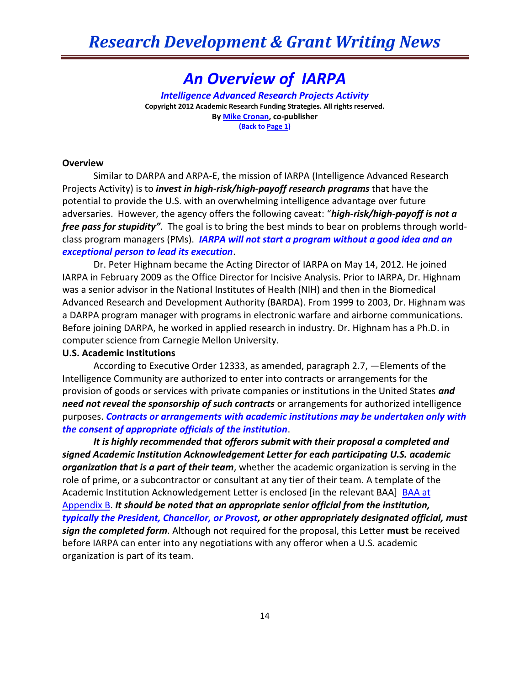# *An Overview of IARPA*

*Intelligence Advanced Research Projects Activity* **Copyright 2012 Academic Research Funding Strategies. All rights reserved. B[y Mike Cronan,](mailto:mjcronan@gmail.com) co-publisher (Back to Page 1)**

#### **Overview**

Similar to DARPA and ARPA-E, the mission of IARPA (Intelligence Advanced Research Projects Activity) is to *invest in high-risk/high-payoff research programs* that have the potential to provide the U.S. with an overwhelming intelligence advantage over future adversaries. However, the agency offers the following caveat: "*high-risk/high-payoff is not a free pass for stupidity"*. The goal is to bring the best minds to bear on problems through worldclass program managers (PMs). *IARPA will not start a program without a good idea and an exceptional person to lead its execution*.

Dr. Peter Highnam became the Acting Director of IARPA on May 14, 2012. He joined IARPA in February 2009 as the Office Director for Incisive Analysis. Prior to IARPA, Dr. Highnam was a senior advisor in the National Institutes of Health (NIH) and then in the Biomedical Advanced Research and Development Authority (BARDA). From 1999 to 2003, Dr. Highnam was a DARPA program manager with programs in electronic warfare and airborne communications. Before joining DARPA, he worked in applied research in industry. Dr. Highnam has a Ph.D. in computer science from Carnegie Mellon University.

#### **U.S. Academic Institutions**

According to Executive Order 12333, as amended, paragraph 2.7, ―Elements of the Intelligence Community are authorized to enter into contracts or arrangements for the provision of goods or services with private companies or institutions in the United States *and need not reveal the sponsorship of such contracts* or arrangements for authorized intelligence purposes. *Contracts or arrangements with academic institutions may be undertaken only with the consent of appropriate officials of the institution*.‖

*It is highly recommended that offerors submit with their proposal a completed and signed Academic Institution Acknowledgement Letter for each participating U.S. academic organization that is a part of their team*, whether the academic organization is serving in the role of prime, or a subcontractor or consultant at any tier of their team. A template of the Academic Institution Acknowledgement Letter is enclosed [in the relevant BAA] [BAA at](https://www.fbo.gov/index?tab=documents&tabmode=form&subtab=core&tabid=15421db98da771df8763b1d8ea75c41b)  [Appendix B.](https://www.fbo.gov/index?tab=documents&tabmode=form&subtab=core&tabid=15421db98da771df8763b1d8ea75c41b) *It should be noted that an appropriate senior official from the institution, typically the President, Chancellor, or Provost, or other appropriately designated official, must sign the completed form*. Although not required for the proposal, this Letter **must** be received before IARPA can enter into any negotiations with any offeror when a U.S. academic organization is part of its team.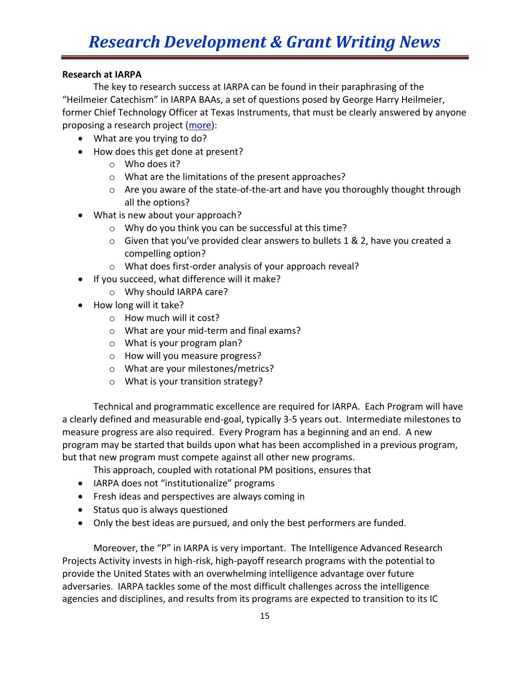### **Research at IARPA**

The key to research success at IARPA can be found in their paraphrasing of the "Heilmeier Catechism" in IARPA BAAs, a set of questions posed by George Harry Heilmeier, former Chief Technology Officer at Texas Instruments, that must be clearly answered by anyone proposing a research project [\(more\)](http://en.wikipedia.org/wiki/George_H._Heilmeier):

- What are you trying to do?
- How does this get done at present?
	- o Who does it?
	- o What are the limitations of the present approaches?
	- o Are you aware of the state-of-the-art and have you thoroughly thought through all the options?
- What is new about your approach?
	- o Why do you think you can be successful at this time?
	- o Given that you've provided clear answers to bullets 1 & 2, have you created a compelling option?
	- o What does first-order analysis of your approach reveal?
- If you succeed, what difference will it make?
	- o Why should IARPA care?
- How long will it take?
	- o How much will it cost?
	- o What are your mid-term and final exams?
	- o What is your program plan?
	- o How will you measure progress?
	- o What are your milestones/metrics?
	- o What is your transition strategy?

Technical and programmatic excellence are required for IARPA. Each Program will have a clearly defined and measurable end-goal, typically 3-5 years out. Intermediate milestones to measure progress are also required. Every Program has a beginning and an end. A new program may be started that builds upon what has been accomplished in a previous program, but that new program must compete against all other new programs.

- This approach, coupled with rotational PM positions, ensures that
- IARPA does not "institutionalize" programs
- Fresh ideas and perspectives are always coming in
- Status quo is always questioned
- Only the best ideas are pursued, and only the best performers are funded.

Moreover, the "P" in IARPA is very important. The Intelligence Advanced Research Projects Activity invests in high-risk, high-payoff research programs with the potential to provide the United States with an overwhelming intelligence advantage over future adversaries. IARPA tackles some of the most difficult challenges across the intelligence agencies and disciplines, and results from its programs are expected to transition to its IC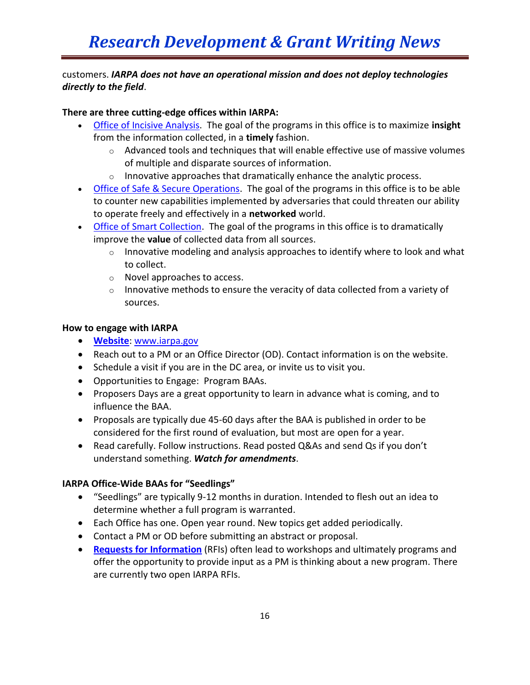### customers. *IARPA does not have an operational mission and does not deploy technologies directly to the field*.

### **There are three cutting-edge offices within IARPA:**

- [Office of Incisive Analysis.](http://www.iarpa.gov/office_incisive.html) The goal of the programs in this office is to maximize **insight** from the information collected, in a **timely** fashion.
	- $\circ$  Advanced tools and techniques that will enable effective use of massive volumes of multiple and disparate sources of information.
	- $\circ$  Innovative approaches that dramatically enhance the analytic process.
- [Office of Safe & Secure Operations.](http://www.iarpa.gov/office_safe.html) The goal of the programs in this office is to be able to counter new capabilities implemented by adversaries that could threaten our ability to operate freely and effectively in a **networked** world.
- [Office of Smart Collection.](http://www.iarpa.gov/office_smart.html) The goal of the programs in this office is to dramatically improve the **value** of collected data from all sources.
	- $\circ$  Innovative modeling and analysis approaches to identify where to look and what to collect.
	- o Novel approaches to access.
	- $\circ$  Innovative methods to ensure the veracity of data collected from a variety of sources.

### **How to engage with IARPA**

- **[Website](http://www.iarpa.gov/index.html)**: [www.iarpa.gov](http://www.iarpa.gov/)
- Reach out to a PM or an Office Director (OD). Contact information is on the website.
- Schedule a visit if you are in the DC area, or invite us to visit you.
- Opportunities to Engage: Program BAAs.
- Proposers Days are a great opportunity to learn in advance what is coming, and to influence the BAA.
- Proposals are typically due 45-60 days after the BAA is published in order to be considered for the first round of evaluation, but most are open for a year.
- Read carefully. Follow instructions. Read posted Q&As and send Qs if you don't understand something. *Watch for amendments*.

### **IARPA Office-Wide BAAs for "Seedlings"**

- "Seedlings" are typically 9-12 months in duration. Intended to flesh out an idea to determine whether a full program is warranted.
- Each Office has one. Open year round. New topics get added periodically.
- Contact a PM or OD before submitting an abstract or proposal.
- **[Requests for Information](http://www.iarpa.gov/rfi.html)** (RFIs) often lead to workshops and ultimately programs and offer the opportunity to provide input as a PM is thinking about a new program. There are currently two open IARPA RFIs.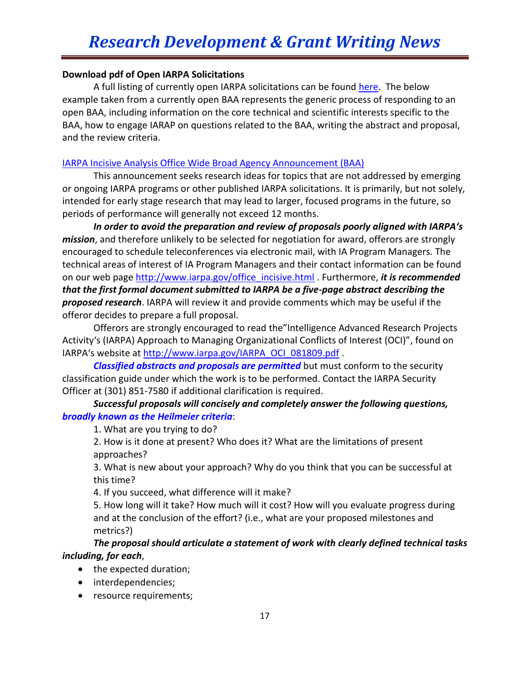### **Download pdf of Open IARPA Solicitations**

A full listing of currently open IARPA solicitations can be found [here.](http://www.iarpa.gov/open_solicitations.html) The below example taken from a currently open BAA represents the generic process of responding to an open BAA, including information on the core technical and scientific interests specific to the BAA, how to engage IARAP on questions related to the BAA, writing the abstract and proposal, and the review criteria.

### [IARPA Incisive Analysis Office Wide Broad Agency Announcement \(BAA\)](https://www.fbo.gov/index?s=opportunity&mode=form&tab=core&id=2cf4e8fb089b3604670230fa9ce7e920&_cview=1)

This announcement seeks research ideas for topics that are not addressed by emerging or ongoing IARPA programs or other published IARPA solicitations. It is primarily, but not solely, intended for early stage research that may lead to larger, focused programs in the future, so periods of performance will generally not exceed 12 months.

*In order to avoid the preparation and review of proposals poorly aligned with IARPA's mission*, and therefore unlikely to be selected for negotiation for award, offerors are strongly encouraged to schedule teleconferences via electronic mail, with IA Program Managers. The technical areas of interest of IA Program Managers and their contact information can be found on our web page [http://www.iarpa.gov/office\\_incisive.html](http://www.iarpa.gov/office_incisive.html) . Furthermore, *it is recommended that the first formal document submitted to IARPA be a five-page abstract describing the proposed research*. IARPA will review it and provide comments which may be useful if the offeror decides to prepare a full proposal.

Offerors are strongly encouraged to read the"Intelligence Advanced Research Projects Activity's (IARPA) Approach to Managing Organizational Conflicts of Interest (OCI)", found on IARPA's website at [http://www.iarpa.gov/IARPA\\_OCI\\_081809.pdf](http://www.iarpa.gov/IARPA_OCI_081809.pdf) .

*Classified abstracts and proposals are permitted* but must conform to the security classification guide under which the work is to be performed. Contact the IARPA Security Officer at (301) 851-7580 if additional clarification is required.

### *Successful proposals will concisely and completely answer the following questions, broadly known as the Heilmeier criteria*:

1. What are you trying to do?

2. How is it done at present? Who does it? What are the limitations of present approaches?

3. What is new about your approach? Why do you think that you can be successful at this time?

4. If you succeed, what difference will it make?

5. How long will it take? How much will it cost? How will you evaluate progress during and at the conclusion of the effort? (i.e., what are your proposed milestones and metrics?)

### *The proposal should articulate a statement of work with clearly defined technical tasks including, for each*,

- the expected duration;
- interdependencies;
- resource requirements;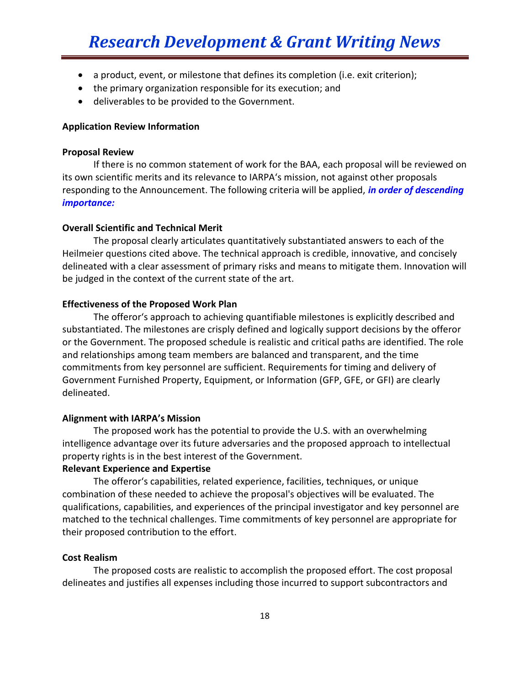- a product, event, or milestone that defines its completion (i.e. exit criterion);
- the primary organization responsible for its execution; and
- deliverables to be provided to the Government.

#### **Application Review Information**

#### **Proposal Review**

If there is no common statement of work for the BAA, each proposal will be reviewed on its own scientific merits and its relevance to IARPA's mission, not against other proposals responding to the Announcement. The following criteria will be applied, *in order of descending importance:* 

#### **Overall Scientific and Technical Merit**

The proposal clearly articulates quantitatively substantiated answers to each of the Heilmeier questions cited above. The technical approach is credible, innovative, and concisely delineated with a clear assessment of primary risks and means to mitigate them. Innovation will be judged in the context of the current state of the art.

#### **Effectiveness of the Proposed Work Plan**

The offeror's approach to achieving quantifiable milestones is explicitly described and substantiated. The milestones are crisply defined and logically support decisions by the offeror or the Government. The proposed schedule is realistic and critical paths are identified. The role and relationships among team members are balanced and transparent, and the time commitments from key personnel are sufficient. Requirements for timing and delivery of Government Furnished Property, Equipment, or Information (GFP, GFE, or GFI) are clearly delineated.

#### **Alignment with IARPA's Mission**

The proposed work has the potential to provide the U.S. with an overwhelming intelligence advantage over its future adversaries and the proposed approach to intellectual property rights is in the best interest of the Government.

#### **Relevant Experience and Expertise**

The offeror's capabilities, related experience, facilities, techniques, or unique combination of these needed to achieve the proposal's objectives will be evaluated. The qualifications, capabilities, and experiences of the principal investigator and key personnel are matched to the technical challenges. Time commitments of key personnel are appropriate for their proposed contribution to the effort.

#### **Cost Realism**

The proposed costs are realistic to accomplish the proposed effort. The cost proposal delineates and justifies all expenses including those incurred to support subcontractors and